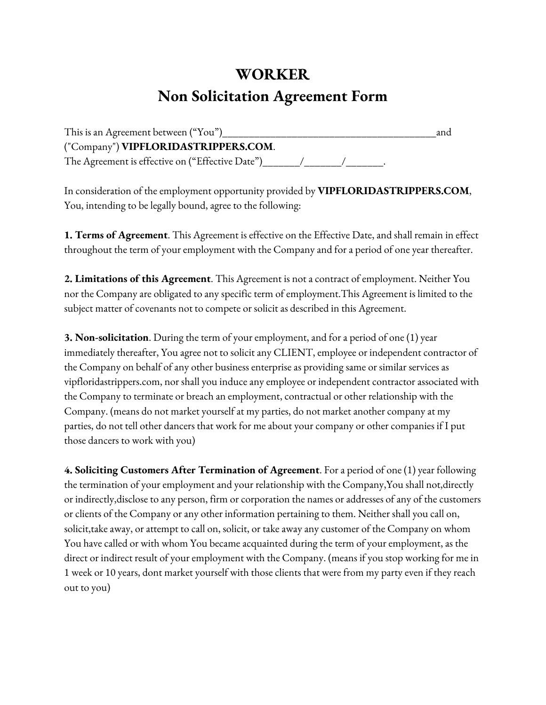## **WORKER**

## **Non Solicitation Agreement Form**

| This is an Agreement between ("You")             | and |
|--------------------------------------------------|-----|
| ("Company") VIPFLORIDASTRIPPERS.COM.             |     |
| The Agreement is effective on ("Effective Date") |     |

In consideration of the employment opportunity provided by **VIPFLORIDASTRIPPERS.COM**, You, intending to be legally bound, agree to the following:

**1. Terms of Agreement**. This Agreement is effective on the Effective Date, and shall remain in effect throughout the term of your employment with the Company and for a period of one year thereafter.

**2. Limitations of this Agreement**. This Agreement is not a contract of employment. Neither You nor the Company are obligated to any specific term of employment.This Agreement is limited to the subject matter of covenants not to compete or solicit as described in this Agreement.

**3. Non-solicitation**. During the term of your employment, and for a period of one (1) year immediately thereafter, You agree not to solicit any CLIENT, employee or independent contractor of the Company on behalf of any other business enterprise as providing same or similar services as vipfloridastrippers.com, nor shall you induce any employee or independent contractor associated with the Company to terminate or breach an employment, contractual or other relationship with the Company. (means do not market yourself at my parties, do not market another company at my parties, do not tell other dancers that work for me about your company or other companies if I put those dancers to work with you)

**4. Soliciting Customers After Termination of Agreement**. For a period of one (1) year following the termination of your employment and your relationship with the Company,You shall not,directly or indirectly,disclose to any person, firm or corporation the names or addresses of any of the customers or clients of the Company or any other information pertaining to them. Neither shall you call on, solicit,take away, or attempt to call on, solicit, or take away any customer of the Company on whom You have called or with whom You became acquainted during the term of your employment, as the direct or indirect result of your employment with the Company. (means if you stop working for me in 1 week or 10 years, dont market yourself with those clients that were from my party even if they reach out to you)